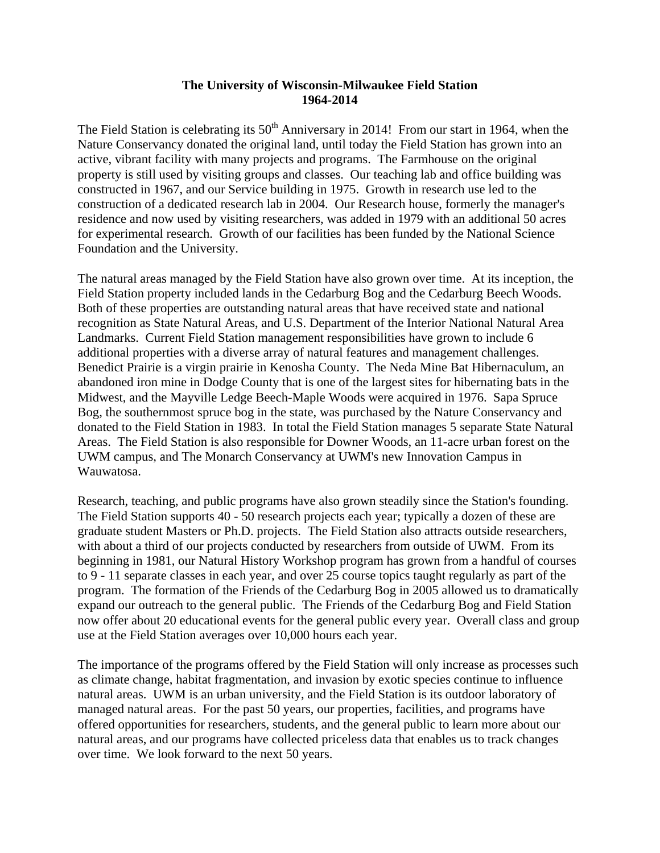# **The University of Wisconsin-Milwaukee Field Station 1964-2014**

The Field Station is celebrating its  $50<sup>th</sup>$  Anniversary in 2014! From our start in 1964, when the Nature Conservancy donated the original land, until today the Field Station has grown into an active, vibrant facility with many projects and programs. The Farmhouse on the original property is still used by visiting groups and classes. Our teaching lab and office building was constructed in 1967, and our Service building in 1975. Growth in research use led to the construction of a dedicated research lab in 2004. Our Research house, formerly the manager's residence and now used by visiting researchers, was added in 1979 with an additional 50 acres for experimental research. Growth of our facilities has been funded by the National Science Foundation and the University.

The natural areas managed by the Field Station have also grown over time. At its inception, the Field Station property included lands in the Cedarburg Bog and the Cedarburg Beech Woods. Both of these properties are outstanding natural areas that have received state and national recognition as State Natural Areas, and U.S. Department of the Interior National Natural Area Landmarks. Current Field Station management responsibilities have grown to include 6 additional properties with a diverse array of natural features and management challenges. Benedict Prairie is a virgin prairie in Kenosha County. The Neda Mine Bat Hibernaculum, an abandoned iron mine in Dodge County that is one of the largest sites for hibernating bats in the Midwest, and the Mayville Ledge Beech-Maple Woods were acquired in 1976. Sapa Spruce Bog, the southernmost spruce bog in the state, was purchased by the Nature Conservancy and donated to the Field Station in 1983. In total the Field Station manages 5 separate State Natural Areas. The Field Station is also responsible for Downer Woods, an 11-acre urban forest on the UWM campus, and The Monarch Conservancy at UWM's new Innovation Campus in Wauwatosa.

Research, teaching, and public programs have also grown steadily since the Station's founding. The Field Station supports 40 - 50 research projects each year; typically a dozen of these are graduate student Masters or Ph.D. projects. The Field Station also attracts outside researchers, with about a third of our projects conducted by researchers from outside of UWM. From its beginning in 1981, our Natural History Workshop program has grown from a handful of courses to 9 - 11 separate classes in each year, and over 25 course topics taught regularly as part of the program. The formation of the Friends of the Cedarburg Bog in 2005 allowed us to dramatically expand our outreach to the general public. The Friends of the Cedarburg Bog and Field Station now offer about 20 educational events for the general public every year. Overall class and group use at the Field Station averages over 10,000 hours each year.

The importance of the programs offered by the Field Station will only increase as processes such as climate change, habitat fragmentation, and invasion by exotic species continue to influence natural areas. UWM is an urban university, and the Field Station is its outdoor laboratory of managed natural areas. For the past 50 years, our properties, facilities, and programs have offered opportunities for researchers, students, and the general public to learn more about our natural areas, and our programs have collected priceless data that enables us to track changes over time. We look forward to the next 50 years.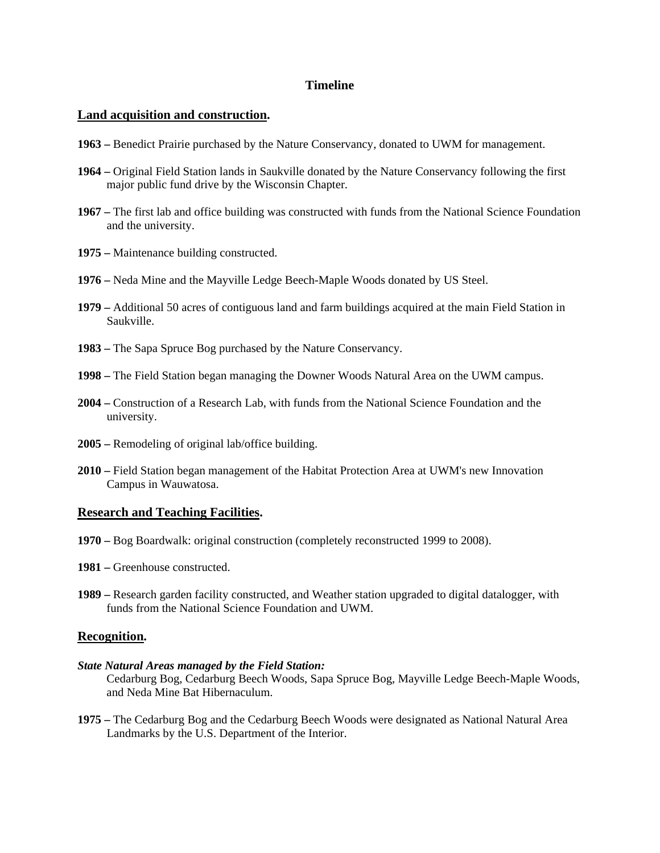## **Timeline**

### **Land acquisition and construction.**

- **1963 –** Benedict Prairie purchased by the Nature Conservancy, donated to UWM for management.
- **1964 –** Original Field Station lands in Saukville donated by the Nature Conservancy following the first major public fund drive by the Wisconsin Chapter.
- **1967 –** The first lab and office building was constructed with funds from the National Science Foundation and the university.
- **1975 –** Maintenance building constructed.
- **1976 –** Neda Mine and the Mayville Ledge Beech-Maple Woods donated by US Steel.
- **1979 –** Additional 50 acres of contiguous land and farm buildings acquired at the main Field Station in Saukville.
- **1983 –** The Sapa Spruce Bog purchased by the Nature Conservancy.
- **1998 –** The Field Station began managing the Downer Woods Natural Area on the UWM campus.
- **2004 –** Construction of a Research Lab, with funds from the National Science Foundation and the university.
- **2005 –** Remodeling of original lab/office building.
- **2010 –** Field Station began management of the Habitat Protection Area at UWM's new Innovation Campus in Wauwatosa.

### **Research and Teaching Facilities.**

- **1970 –** Bog Boardwalk: original construction (completely reconstructed 1999 to 2008).
- **1981** Greenhouse constructed.
- **1989 –** Research garden facility constructed, and Weather station upgraded to digital datalogger, with funds from the National Science Foundation and UWM.

### **Recognition.**

- *State Natural Areas managed by the Field Station:*  Cedarburg Bog, Cedarburg Beech Woods, Sapa Spruce Bog, Mayville Ledge Beech-Maple Woods, and Neda Mine Bat Hibernaculum.
- **1975 –** The Cedarburg Bog and the Cedarburg Beech Woods were designated as National Natural Area Landmarks by the U.S. Department of the Interior.